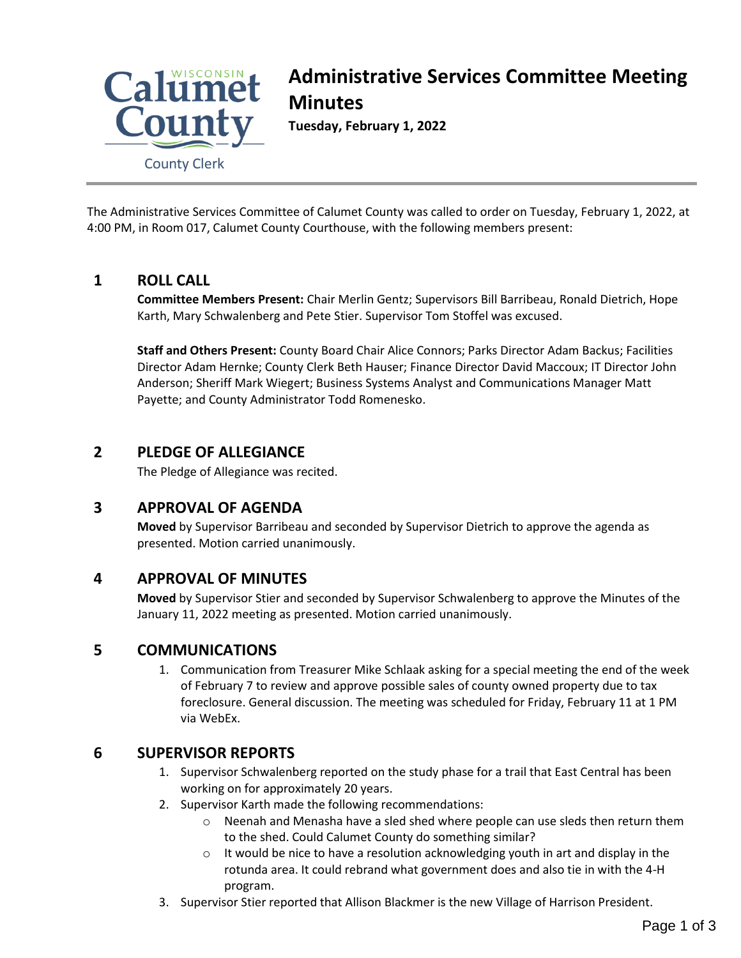

# **Administrative Services Committee Meeting Minutes**

**Tuesday, February 1, 2022**

The Administrative Services Committee of Calumet County was called to order on Tuesday, February 1, 2022, at 4:00 PM, in Room 017, Calumet County Courthouse, with the following members present:

# **1 ROLL CALL**

**Committee Members Present:** Chair Merlin Gentz; Supervisors Bill Barribeau, Ronald Dietrich, Hope Karth, Mary Schwalenberg and Pete Stier. Supervisor Tom Stoffel was excused.

**Staff and Others Present:** County Board Chair Alice Connors; Parks Director Adam Backus; Facilities Director Adam Hernke; County Clerk Beth Hauser; Finance Director David Maccoux; IT Director John Anderson; Sheriff Mark Wiegert; Business Systems Analyst and Communications Manager Matt Payette; and County Administrator Todd Romenesko.

# **2 PLEDGE OF ALLEGIANCE**

The Pledge of Allegiance was recited.

# **3 APPROVAL OF AGENDA**

**Moved** by Supervisor Barribeau and seconded by Supervisor Dietrich to approve the agenda as presented. Motion carried unanimously.

# **4 APPROVAL OF MINUTES**

**Moved** by Supervisor Stier and seconded by Supervisor Schwalenberg to approve the Minutes of the January 11, 2022 meeting as presented. Motion carried unanimously.

# **5 COMMUNICATIONS**

1. Communication from Treasurer Mike Schlaak asking for a special meeting the end of the week of February 7 to review and approve possible sales of county owned property due to tax foreclosure. General discussion. The meeting was scheduled for Friday, February 11 at 1 PM via WebEx.

# **6 SUPERVISOR REPORTS**

- 1. Supervisor Schwalenberg reported on the study phase for a trail that East Central has been working on for approximately 20 years.
- 2. Supervisor Karth made the following recommendations:
	- $\circ$  Neenah and Menasha have a sled shed where people can use sleds then return them to the shed. Could Calumet County do something similar?
	- $\circ$  It would be nice to have a resolution acknowledging youth in art and display in the rotunda area. It could rebrand what government does and also tie in with the 4-H program.
- 3. Supervisor Stier reported that Allison Blackmer is the new Village of Harrison President.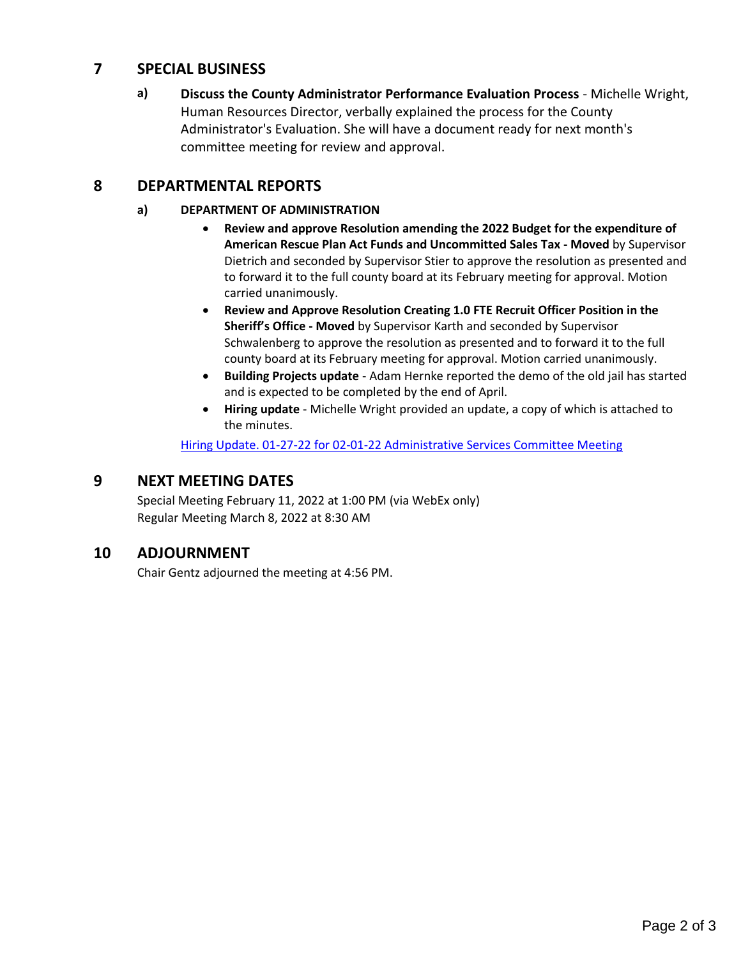## **7 SPECIAL BUSINESS**

**a) Discuss the County Administrator Performance Evaluation Process** - Michelle Wright, Human Resources Director, verbally explained the process for the County Administrator's Evaluation. She will have a document ready for next month's committee meeting for review and approval.

# **8 DEPARTMENTAL REPORTS**

## **a) DEPARTMENT OF ADMINISTRATION**

- **Review and approve Resolution amending the 2022 Budget for the expenditure of American Rescue Plan Act Funds and Uncommitted Sales Tax - Moved** by Supervisor Dietrich and seconded by Supervisor Stier to approve the resolution as presented and to forward it to the full county board at its February meeting for approval. Motion carried unanimously.
- **Review and Approve Resolution Creating 1.0 FTE Recruit Officer Position in the Sheriff's Office - Moved** by Supervisor Karth and seconded by Supervisor Schwalenberg to approve the resolution as presented and to forward it to the full county board at its February meeting for approval. Motion carried unanimously.
- **Building Projects update** Adam Hernke reported the demo of the old jail has started and is expected to be completed by the end of April.
- **Hiring update**  Michelle Wright provided an update, a copy of which is attached to the minutes.

[Hiring Update. 01-27-22 for 02-01-22 Administrative Services Committee Meeting](#page-2-0)

## **9 NEXT MEETING DATES**

Special Meeting February 11, 2022 at 1:00 PM (via WebEx only) Regular Meeting March 8, 2022 at 8:30 AM

# **10 ADJOURNMENT**

Chair Gentz adjourned the meeting at 4:56 PM.